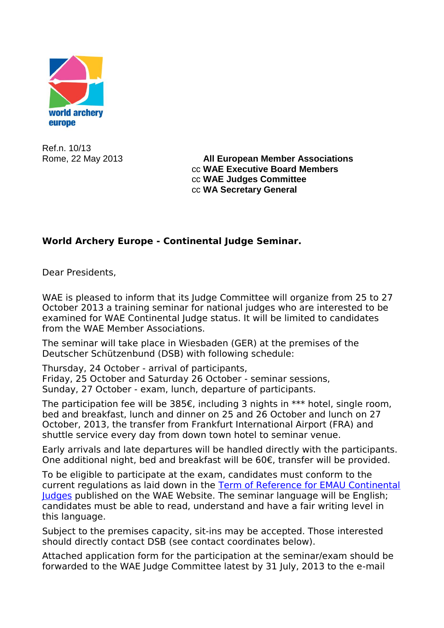

Ref.n. 10/13

Rome, 22 May 2013 **All European Member Associations** cc **WAE Executive Board Members** cc **WAE Judges Committee** cc **WA Secretary General**

## **World Archery Europe - Continental Judge Seminar.**

Dear Presidents,

WAE is pleased to inform that its Judge Committee will organize from 25 to 27 October 2013 a training seminar for national judges who are interested to be examined for WAE Continental Judge status. It will be limited to candidates from the WAE Member Associations.

The seminar will take place in Wiesbaden (GER) at the premises of the Deutscher Schützenbund (DSB) with following schedule:

Thursday, 24 October - arrival of participants,

Friday, 25 October and Saturday 26 October - seminar sessions, Sunday, 27 October - exam, lunch, departure of participants.

The participation fee will be 385€, including 3 nights in \*\*\* hotel, single room, bed and breakfast, lunch and dinner on 25 and 26 October and lunch on 27 October, 2013, the transfer from Frankfurt International Airport (FRA) and shuttle service every day from down town hotel to seminar venue.

Early arrivals and late departures will be handled directly with the participants. One additional night, bed and breakfast will be 60€, transfer will be provided.

To be eligible to participate at the exam, candidates must conform to the current regulations as laid down in the [Term of Reference for EMAU Continental](http://www.emau.org/attachments/123_Judge_terms_of_reference_2011.pdf)  [Judges](http://www.emau.org/attachments/123_Judge_terms_of_reference_2011.pdf) published on the WAE Website. The seminar language will be English; candidates must be able to read, understand and have a fair writing level in this language.

Subject to the premises capacity, sit-ins may be accepted. Those interested should directly contact DSB (see contact coordinates below).

Attached application form for the participation at the seminar/exam should be forwarded to the WAE Judge Committee latest by 31 July, 2013 to the e-mail